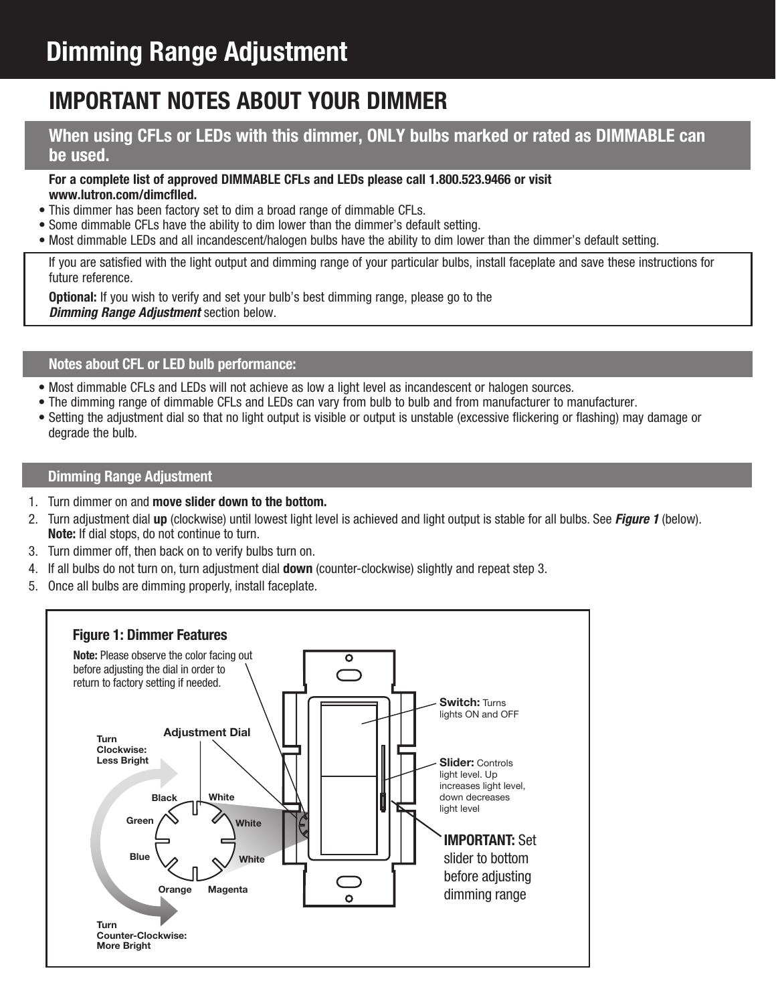# **Important NOTES ABOUT YOUR DIMMER**

# **When using CFLs or LEDs with this dimmer, ONLY bulbs marked or rated as DIMMABLE can be used.**

#### **For a complete list of approved DIMMABLE CFLs and LEDs please call 1.800.523.9466 or visit www.lutron.com/dimcflled.**

- This dimmer has been factory set to dim a broad range of dimmable CFLs.
- Some dimmable CFLs have the ability to dim lower than the dimmer's default setting.
- Most dimmable LEDs and all incandescent/halogen bulbs have the ability to dim lower than the dimmer's default setting.

If you are satisfied with the light output and dimming range of your particular bulbs, install faceplate and save these instructions for future reference.

**Optional:** If you wish to verify and set your bulb's best dimming range, please go to the *Dimming Range Adjustment* section below.

# **Notes about CFL or LED bulb performance:**

- Most dimmable CFLs and LEDs will not achieve as low a light level as incandescent or halogen sources.
- The dimming range of dimmable CFLs and LEDs can vary from bulb to bulb and from manufacturer to manufacturer.
- Setting the adjustment dial so that no light output is visible or output is unstable (excessive flickering or flashing) may damage or degrade the bulb.

#### **Dimming Range Adjustment**

- 1. Turn dimmer on and **move slider down to the bottom.**
- 2. Turn adjustment dial **up** (clockwise) until lowest light level is achieved and light output is stable for all bulbs. See *Figure 1* (below). **Note:** If dial stops, do not continue to turn.
- 3. Turn dimmer off, then back on to verify bulbs turn on.
- 4. If all bulbs do not turn on, turn adjustment dial **down** (counter-clockwise) slightly and repeat step 3.
- 5. Once all bulbs are dimming properly, install faceplate.